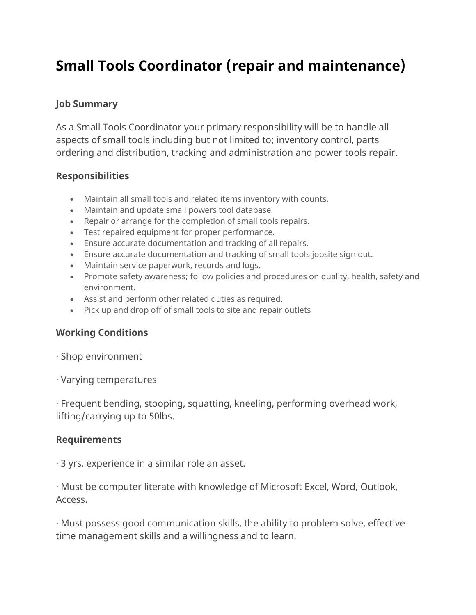# **Small Tools Coordinator (repair and maintenance)**

## **Job Summary**

As a Small Tools Coordinator your primary responsibility will be to handle all aspects of small tools including but not limited to; inventory control, parts ordering and distribution, tracking and administration and power tools repair.

#### **Responsibilities**

- Maintain all small tools and related items inventory with counts.
- Maintain and update small powers tool database.
- Repair or arrange for the completion of small tools repairs.
- Test repaired equipment for proper performance.
- Ensure accurate documentation and tracking of all repairs.
- Ensure accurate documentation and tracking of small tools jobsite sign out.
- Maintain service paperwork, records and logs.
- Promote safety awareness; follow policies and procedures on quality, health, safety and environment.
- Assist and perform other related duties as required.
- Pick up and drop off of small tools to site and repair outlets

## **Working Conditions**

- · Shop environment
- · Varying temperatures

· Frequent bending, stooping, squatting, kneeling, performing overhead work, lifting/carrying up to 50lbs.

#### **Requirements**

· 3 yrs. experience in a similar role an asset.

· Must be computer literate with knowledge of Microsoft Excel, Word, Outlook, Access.

· Must possess good communication skills, the ability to problem solve, effective time management skills and a willingness and to learn.